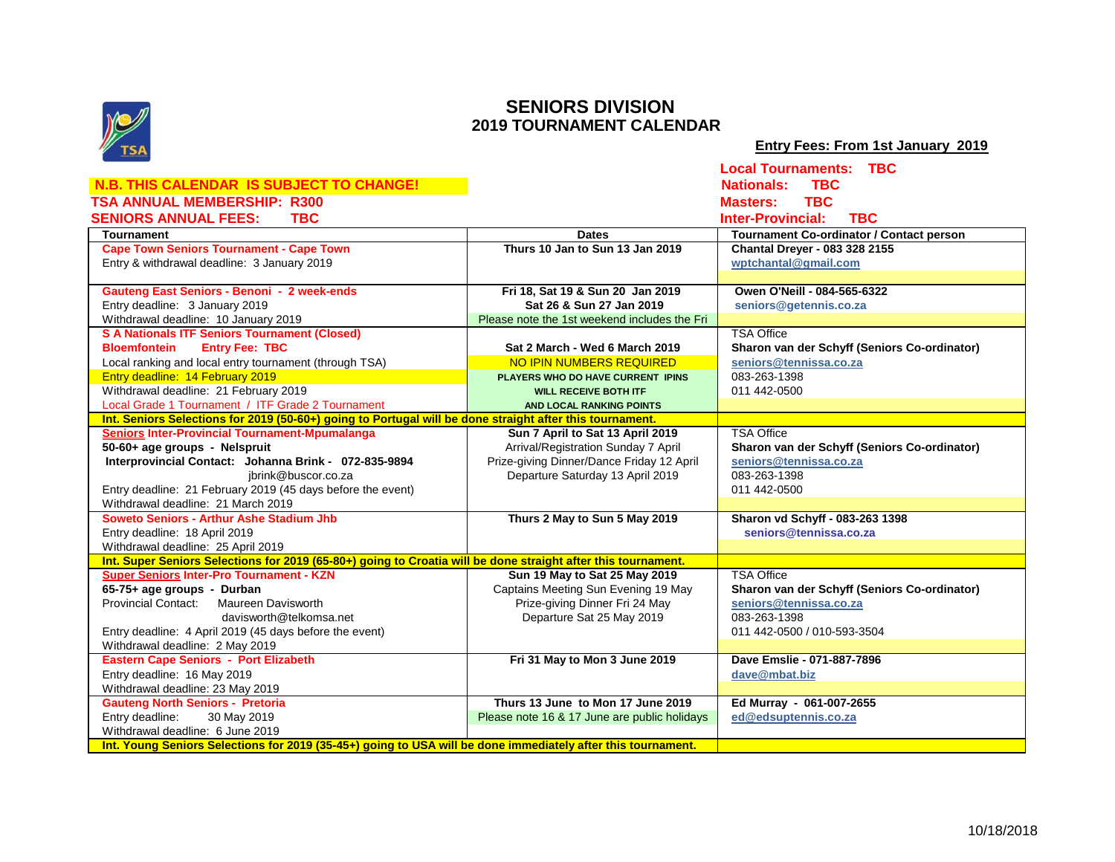

## **SENIORS DIVISION 2019 TOURNAMENT CALENDAR**

 **Entry Fees: From 1st January 2019**

|                                                                                                               |                                              | <b>Local Tournaments: TBC</b>                   |
|---------------------------------------------------------------------------------------------------------------|----------------------------------------------|-------------------------------------------------|
| <b>N.B. THIS CALENDAR IS SUBJECT TO CHANGE!</b>                                                               |                                              | <b>TBC</b><br><b>Nationals:</b>                 |
| <b>TSA ANNUAL MEMBERSHIP: R300</b>                                                                            |                                              | <b>TBC</b><br><b>Masters:</b>                   |
| <b>TBC</b>                                                                                                    |                                              | <b>Inter-Provincial:</b><br><b>TBC</b>          |
| <b>SENIORS ANNUAL FEES:</b>                                                                                   |                                              |                                                 |
| <b>Tournament</b>                                                                                             | <b>Dates</b>                                 | <b>Tournament Co-ordinator / Contact person</b> |
| <b>Cape Town Seniors Tournament - Cape Town</b>                                                               | Thurs 10 Jan to Sun 13 Jan 2019              | <b>Chantal Dreyer - 083 328 2155</b>            |
| Entry & withdrawal deadline: 3 January 2019                                                                   |                                              | wptchantal@gmail.com                            |
|                                                                                                               |                                              |                                                 |
| Gauteng East Seniors - Benoni - 2 week-ends                                                                   | Fri 18, Sat 19 & Sun 20 Jan 2019             | Owen O'Neill - 084-565-6322                     |
| Entry deadline: 3 January 2019                                                                                | Sat 26 & Sun 27 Jan 2019                     | seniors@getennis.co.za                          |
| Withdrawal deadline: 10 January 2019                                                                          | Please note the 1st weekend includes the Fri |                                                 |
| <b>S A Nationals ITF Seniors Tournament (Closed)</b>                                                          |                                              | <b>TSA Office</b>                               |
| <b>Entry Fee: TBC</b><br><b>Bloemfontein</b>                                                                  | Sat 2 March - Wed 6 March 2019               | Sharon van der Schyff (Seniors Co-ordinator)    |
| Local ranking and local entry tournament (through TSA)                                                        | NO IPIN NUMBERS REQUIRED                     | seniors@tennissa.co.za                          |
| Entry deadline: 14 February 2019                                                                              | PLAYERS WHO DO HAVE CURRENT IPINS            | 083-263-1398                                    |
| Withdrawal deadline: 21 February 2019                                                                         | <b>WILL RECEIVE BOTH ITF</b>                 | 011 442 0500                                    |
| Local Grade 1 Tournament / ITF Grade 2 Tournament                                                             | AND LOCAL RANKING POINTS                     |                                                 |
| Int. Seniors Selections for 2019 (50-60+) going to Portugal will be done straight after this tournament.      |                                              |                                                 |
| <b>Seniors Inter-Provincial Tournament-Mpumalanga</b>                                                         | Sun 7 April to Sat 13 April 2019             | <b>TSA Office</b>                               |
| 50-60+ age groups - Nelspruit                                                                                 | Arrival/Registration Sunday 7 April          | Sharon van der Schyff (Seniors Co-ordinator)    |
| Interprovincial Contact: Johanna Brink - 072-835-9894                                                         | Prize-giving Dinner/Dance Friday 12 April    | seniors@tennissa.co.za                          |
| ibrink@buscor.co.za                                                                                           | Departure Saturday 13 April 2019             | 083-263-1398                                    |
| Entry deadline: 21 February 2019 (45 days before the event)                                                   |                                              | 011 442 0500                                    |
| Withdrawal deadline: 21 March 2019                                                                            |                                              |                                                 |
| Soweto Seniors - Arthur Ashe Stadium Jhb                                                                      | Thurs 2 May to Sun 5 May 2019                | Sharon vd Schyff - 083-263 1398                 |
| Entry deadline: 18 April 2019                                                                                 |                                              | seniors@tennissa.co.za                          |
| Withdrawal deadline: 25 April 2019                                                                            |                                              |                                                 |
| Int. Super Seniors Selections for 2019 (65-80+) going to Croatia will be done straight after this tournament. |                                              |                                                 |
| <b>Super Seniors Inter-Pro Tournament - KZN</b>                                                               | Sun 19 May to Sat 25 May 2019                | <b>TSA Office</b>                               |
| 65-75+ age groups - Durban                                                                                    | Captains Meeting Sun Evening 19 May          | Sharon van der Schyff (Seniors Co-ordinator)    |
| <b>Provincial Contact:</b><br><b>Maureen Davisworth</b>                                                       | Prize-giving Dinner Fri 24 May               | seniors@tennissa.co.za                          |
| davisworth@telkomsa.net                                                                                       | Departure Sat 25 May 2019                    | 083-263-1398                                    |
| Entry deadline: 4 April 2019 (45 days before the event)                                                       |                                              | 011 442-0500 / 010-593-3504                     |
| Withdrawal deadline: 2 May 2019                                                                               |                                              |                                                 |
| <b>Eastern Cape Seniors - Port Elizabeth</b>                                                                  | Fri 31 May to Mon 3 June 2019                | Dave Emslie - 071-887-7896                      |
| Entry deadline: 16 May 2019                                                                                   |                                              | dave@mbat.biz                                   |
| Withdrawal deadline: 23 May 2019                                                                              |                                              |                                                 |
| <b>Gauteng North Seniors - Pretoria</b>                                                                       | Thurs 13 June to Mon 17 June 2019            | Ed Murray - 061-007-2655                        |
| Entry deadline:<br>30 May 2019                                                                                | Please note 16 & 17 June are public holidays | ed@edsuptennis.co.za                            |
| Withdrawal deadline: 6 June 2019                                                                              |                                              |                                                 |
| Int. Young Seniors Selections for 2019 (35-45+) going to USA will be done immediately after this tournament.  |                                              |                                                 |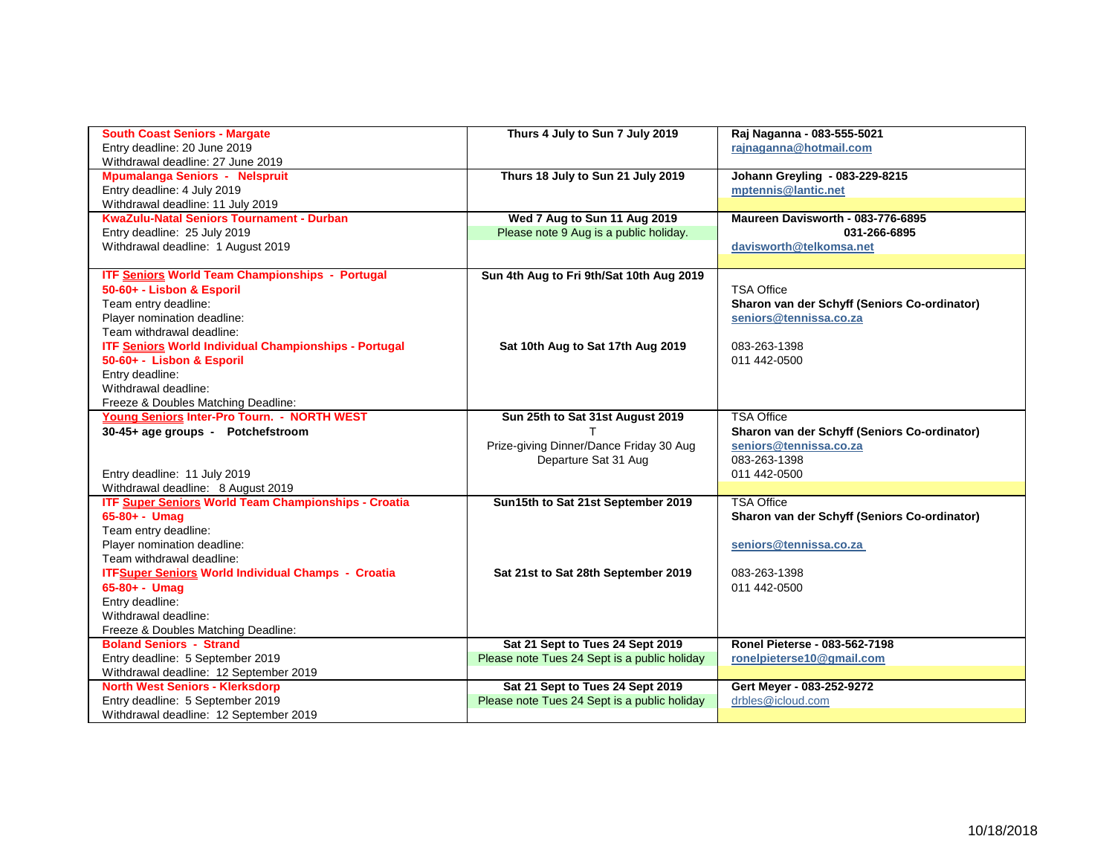| <b>South Coast Seniors - Margate</b>                         | Thurs 4 July to Sun 7 July 2019              | Raj Naganna - 083-555-5021                   |
|--------------------------------------------------------------|----------------------------------------------|----------------------------------------------|
| Entry deadline: 20 June 2019                                 |                                              | rajnaganna@hotmail.com                       |
| Withdrawal deadline: 27 June 2019                            |                                              |                                              |
| <b>Mpumalanga Seniors - Nelspruit</b>                        | Thurs 18 July to Sun 21 July 2019            | Johann Greyling - 083-229-8215               |
| Entry deadline: 4 July 2019                                  |                                              | mptennis@lantic.net                          |
| Withdrawal deadline: 11 July 2019                            |                                              |                                              |
| <b>KwaZulu-Natal Seniors Tournament - Durban</b>             | Wed 7 Aug to Sun 11 Aug 2019                 | Maureen Davisworth - 083-776-6895            |
| Entry deadline: 25 July 2019                                 | Please note 9 Aug is a public holiday.       | 031-266-6895                                 |
| Withdrawal deadline: 1 August 2019                           |                                              | davisworth@telkomsa.net                      |
|                                                              |                                              |                                              |
| <b>ITF Seniors World Team Championships - Portugal</b>       | Sun 4th Aug to Fri 9th/Sat 10th Aug 2019     |                                              |
| 50-60+ - Lisbon & Esporil                                    |                                              | <b>TSA Office</b>                            |
| Team entry deadline:                                         |                                              | Sharon van der Schyff (Seniors Co-ordinator) |
| Player nomination deadline:                                  |                                              | seniors@tennissa.co.za                       |
| Team withdrawal deadline:                                    |                                              |                                              |
| <b>ITF Seniors World Individual Championships - Portugal</b> | Sat 10th Aug to Sat 17th Aug 2019            | 083-263-1398                                 |
| 50-60+ - Lisbon & Esporil                                    |                                              | 011 442 0500                                 |
| Entry deadline:                                              |                                              |                                              |
| Withdrawal deadline:                                         |                                              |                                              |
| Freeze & Doubles Matching Deadline:                          |                                              |                                              |
| Young Seniors Inter-Pro Tourn. - NORTH WEST                  | Sun 25th to Sat 31st August 2019             | <b>TSA Office</b>                            |
| 30-45+ age groups - Potchefstroom                            | т                                            | Sharon van der Schyff (Seniors Co-ordinator) |
|                                                              | Prize-giving Dinner/Dance Friday 30 Aug      | seniors@tennissa.co.za                       |
|                                                              | Departure Sat 31 Aug                         | 083-263-1398                                 |
| Entry deadline: 11 July 2019                                 |                                              | 011 442 0500                                 |
| Withdrawal deadline: 8 August 2019                           |                                              |                                              |
| <b>ITF Super Seniors World Team Championships - Croatia</b>  | Sun15th to Sat 21st September 2019           | <b>TSA Office</b>                            |
| $65 - 80 + -$ Umag                                           |                                              | Sharon van der Schyff (Seniors Co-ordinator) |
| Team entry deadline:                                         |                                              |                                              |
| Player nomination deadline:                                  |                                              | seniors@tennissa.co.za                       |
| Team withdrawal deadline:                                    |                                              |                                              |
| <b>ITFSuper Seniors World Individual Champs - Croatia</b>    | Sat 21st to Sat 28th September 2019          | 083-263-1398                                 |
| $65 - 80 + -$ Umag                                           |                                              | 011 442 - 0500                               |
| Entry deadline:                                              |                                              |                                              |
| Withdrawal deadline:                                         |                                              |                                              |
| Freeze & Doubles Matching Deadline:                          |                                              |                                              |
| <b>Boland Seniors - Strand</b>                               | Sat 21 Sept to Tues 24 Sept 2019             | Ronel Pieterse - 083-562-7198                |
| Entry deadline: 5 September 2019                             | Please note Tues 24 Sept is a public holiday | ronelpieterse10@gmail.com                    |
| Withdrawal deadline: 12 September 2019                       |                                              |                                              |
| <b>North West Seniors - Klerksdorp</b>                       | Sat 21 Sept to Tues 24 Sept 2019             | Gert Meyer - 083-252-9272                    |
| Entry deadline: 5 September 2019                             | Please note Tues 24 Sept is a public holiday | drbles@icloud.com                            |
| Withdrawal deadline: 12 September 2019                       |                                              |                                              |